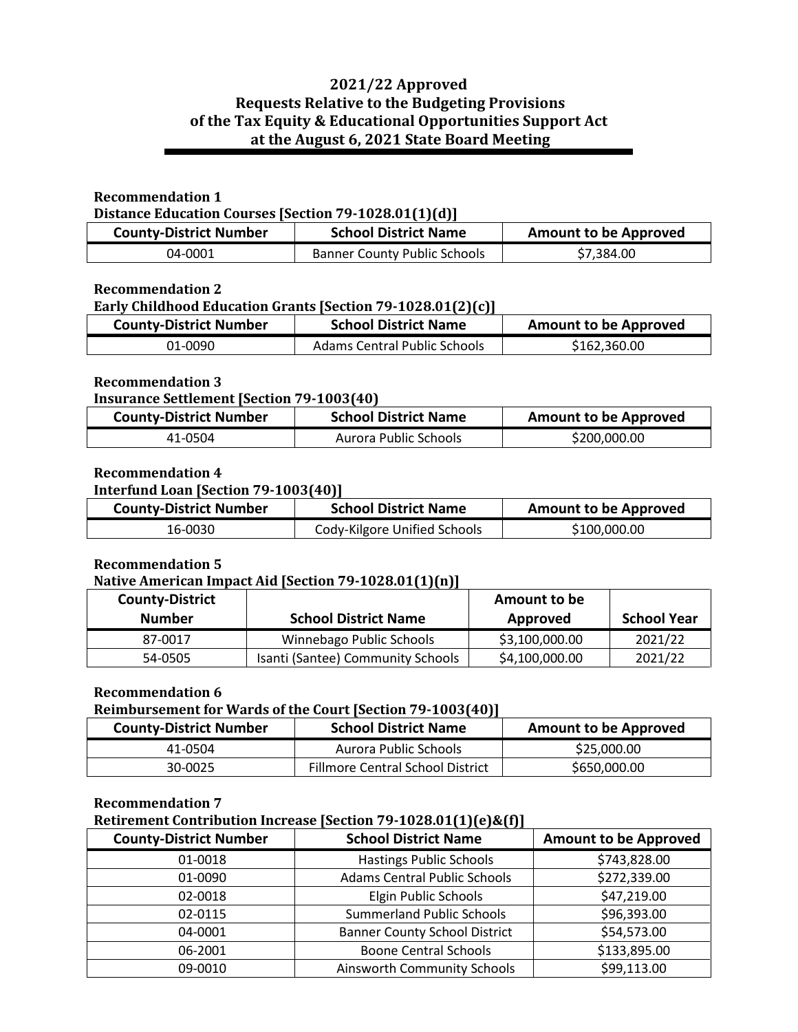# **2021/22 Approved Requests Relative to the Budgeting Provisions of the Tax Equity & Educational Opportunities Support Act at the August 6, 2021 State Board Meeting**

## **Recommendation 1**

**Distance Education Courses [Section 79-1028.01(1)(d)]**

| <b>County-District Number</b> | <b>School District Name</b>         | <b>Amount to be Approved</b> |
|-------------------------------|-------------------------------------|------------------------------|
| 04-0001                       | <b>Banner County Public Schools</b> | \$7,384.00                   |

#### **Recommendation 2**

#### **Early Childhood Education Grants [Section 79-1028.01(2)(c)]**

| <b>County-District Number</b> | <b>School District Name</b>         | <b>Amount to be Approved</b> |
|-------------------------------|-------------------------------------|------------------------------|
| 01-0090                       | <b>Adams Central Public Schools</b> | \$162,360.00                 |

#### **Recommendation 3**

#### **Insurance Settlement [Section 79-1003(40)**

| <b>County-District Number</b> | <b>School District Name</b> | <b>Amount to be Approved</b> |
|-------------------------------|-----------------------------|------------------------------|
| 41-0504                       | Aurora Public Schools       | \$200,000.00                 |

## **Recommendation 4**

#### **Interfund Loan [Section 79-1003(40)]**

| <b>County-District Number</b> | <b>School District Name</b>  | <b>Amount to be Approved</b> |
|-------------------------------|------------------------------|------------------------------|
| 16-0030                       | Cody-Kilgore Unified Schools | \$100,000.00                 |

## **Recommendation 5**

#### **Native American Impact Aid [Section 79-1028.01(1)(n)]**

| <b>County-District</b><br><b>Number</b> | <b>School District Name</b>       | Amount to be<br>Approved | <b>School Year</b> |
|-----------------------------------------|-----------------------------------|--------------------------|--------------------|
| 87-0017                                 | Winnebago Public Schools          | \$3,100,000.00           | 2021/22            |
| 54-0505                                 | Isanti (Santee) Community Schools | \$4,100,000.00           | 2021/22            |

#### **Recommendation 6**

## **Reimbursement for Wards of the Court [Section 79-1003(40)]**

| <b>County-District Number</b> | <b>School District Name</b>             | <b>Amount to be Approved</b> |
|-------------------------------|-----------------------------------------|------------------------------|
| 41-0504                       | Aurora Public Schools                   | \$25,000.00                  |
| 30-0025                       | <b>Fillmore Central School District</b> | \$650,000.00                 |

#### **Recommendation 7**

## **Retirement Contribution Increase [Section 79-1028.01(1)(e)&(f)]**

| <b>County-District Number</b> | <b>School District Name</b>          | <b>Amount to be Approved</b> |
|-------------------------------|--------------------------------------|------------------------------|
| 01-0018                       | <b>Hastings Public Schools</b>       | \$743,828.00                 |
| 01-0090                       | <b>Adams Central Public Schools</b>  | \$272,339.00                 |
| 02-0018                       | Elgin Public Schools                 | \$47,219.00                  |
| 02-0115                       | <b>Summerland Public Schools</b>     | \$96,393.00                  |
| 04-0001                       | <b>Banner County School District</b> | \$54,573.00                  |
| 06-2001                       | <b>Boone Central Schools</b>         | \$133,895.00                 |
| 09-0010                       | <b>Ainsworth Community Schools</b>   | \$99,113.00                  |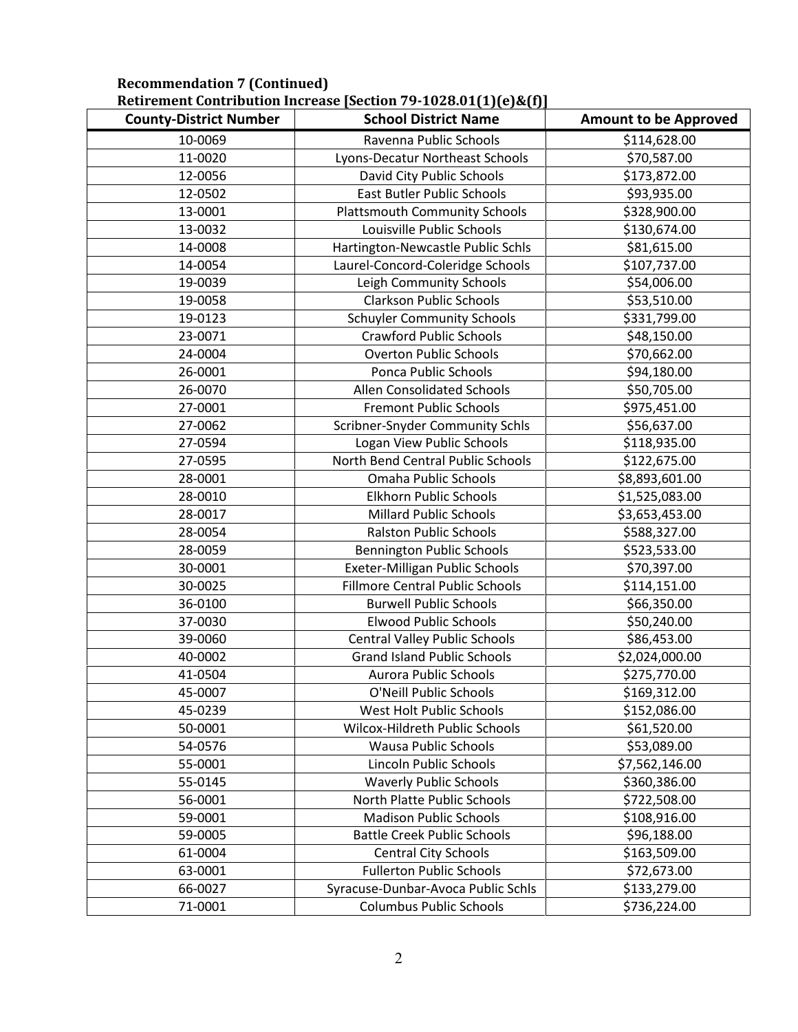|                               | <u>Rethelient Contribution increase [Section 79-1020.01[1][e]&amp;[1]</u> |                              |
|-------------------------------|---------------------------------------------------------------------------|------------------------------|
| <b>County-District Number</b> | <b>School District Name</b>                                               | <b>Amount to be Approved</b> |
| 10-0069                       | Ravenna Public Schools                                                    | \$114,628.00                 |
| 11-0020                       | Lyons-Decatur Northeast Schools                                           | \$70,587.00                  |
| 12-0056                       | David City Public Schools                                                 | \$173,872.00                 |
| 12-0502                       | <b>East Butler Public Schools</b>                                         | \$93,935.00                  |
| 13-0001                       | <b>Plattsmouth Community Schools</b>                                      | \$328,900.00                 |
| 13-0032                       | Louisville Public Schools                                                 | \$130,674.00                 |
| 14-0008                       | Hartington-Newcastle Public Schls                                         | \$81,615.00                  |
| 14-0054                       | Laurel-Concord-Coleridge Schools                                          | \$107,737.00                 |
| 19-0039                       | Leigh Community Schools                                                   | \$54,006.00                  |
| 19-0058                       | <b>Clarkson Public Schools</b>                                            | \$53,510.00                  |
| 19-0123                       | <b>Schuyler Community Schools</b>                                         | \$331,799.00                 |
| 23-0071                       | <b>Crawford Public Schools</b>                                            | \$48,150.00                  |
| 24-0004                       | <b>Overton Public Schools</b>                                             | \$70,662.00                  |
| 26-0001                       | Ponca Public Schools                                                      | \$94,180.00                  |
| 26-0070                       | Allen Consolidated Schools                                                | \$50,705.00                  |
| 27-0001                       | <b>Fremont Public Schools</b>                                             | \$975,451.00                 |
| 27-0062                       | Scribner-Snyder Community Schls                                           | \$56,637.00                  |
| 27-0594                       | Logan View Public Schools                                                 | \$118,935.00                 |
| 27-0595                       | North Bend Central Public Schools                                         | \$122,675.00                 |
| 28-0001                       | Omaha Public Schools                                                      | \$8,893,601.00               |
| 28-0010                       | <b>Elkhorn Public Schools</b>                                             | \$1,525,083.00               |
| 28-0017                       | <b>Millard Public Schools</b>                                             | \$3,653,453.00               |
| 28-0054                       | <b>Ralston Public Schools</b>                                             | \$588,327.00                 |
| 28-0059                       | <b>Bennington Public Schools</b>                                          | \$523,533.00                 |
| 30-0001                       | Exeter-Milligan Public Schools                                            | \$70,397.00                  |
| 30-0025                       | <b>Fillmore Central Public Schools</b>                                    | \$114,151.00                 |
| 36-0100                       | <b>Burwell Public Schools</b>                                             | \$66,350.00                  |
| 37-0030                       | <b>Elwood Public Schools</b>                                              | \$50,240.00                  |
| 39-0060                       | <b>Central Valley Public Schools</b>                                      | \$86,453.00                  |
| 40-0002                       | <b>Grand Island Public Schools</b>                                        | \$2,024,000.00               |
| 41-0504                       | <b>Aurora Public Schools</b>                                              | \$275,770.00                 |
| 45-0007                       | O'Neill Public Schools                                                    | \$169,312.00                 |
| 45-0239                       | West Holt Public Schools                                                  | \$152,086.00                 |
| 50-0001                       | Wilcox-Hildreth Public Schools                                            | \$61,520.00                  |
| 54-0576                       | <b>Wausa Public Schools</b>                                               | \$53,089.00                  |
| 55-0001                       | Lincoln Public Schools                                                    | \$7,562,146.00               |
| 55-0145                       | <b>Waverly Public Schools</b>                                             | \$360,386.00                 |
| 56-0001                       | North Platte Public Schools                                               | \$722,508.00                 |
| 59-0001                       | <b>Madison Public Schools</b>                                             | \$108,916.00                 |
| 59-0005                       | <b>Battle Creek Public Schools</b>                                        | \$96,188.00                  |
| 61-0004                       | <b>Central City Schools</b>                                               | \$163,509.00                 |
| 63-0001                       | <b>Fullerton Public Schools</b>                                           | \$72,673.00                  |
| 66-0027                       | Syracuse-Dunbar-Avoca Public Schls                                        | \$133,279.00                 |
| 71-0001                       | <b>Columbus Public Schools</b>                                            | \$736,224.00                 |

#### **Recommendation 7 (Continued) Retirement Contribution Increase [Section 79-1028.01(1)(e)&(f)]**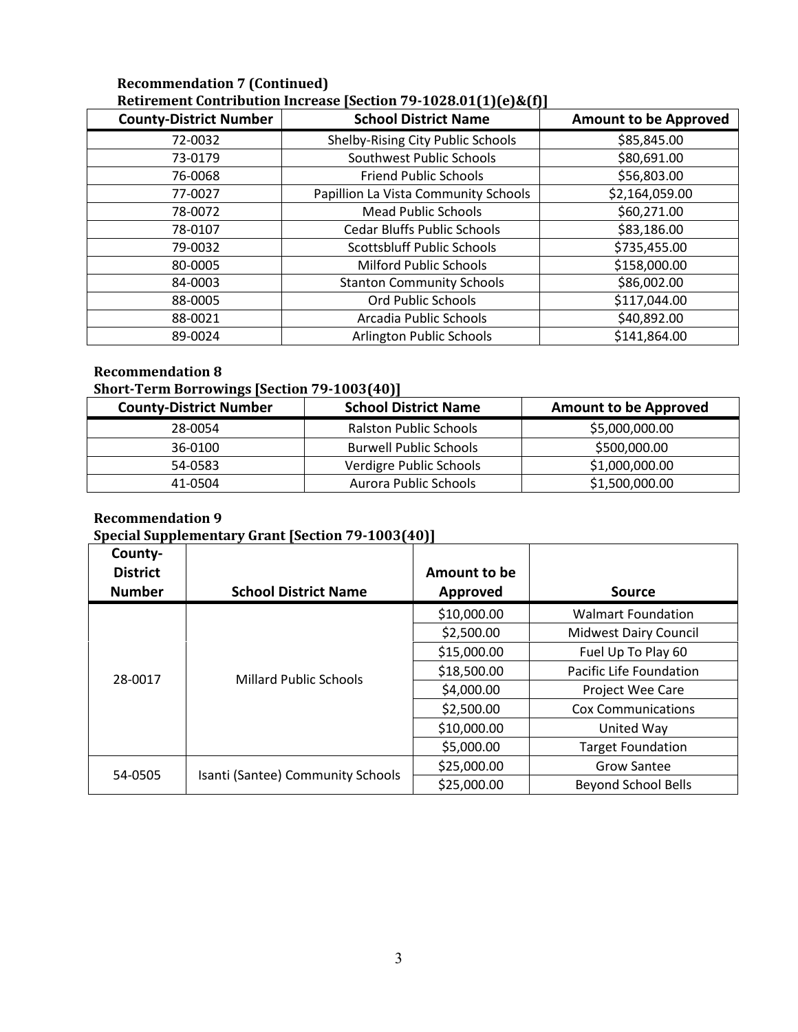## **Recommendation 7 (Continued) Retirement Contribution Increase [Section 79-1028.01(1)(e)&(f)]**

| <b>County-District Number</b> | <b>School District Name</b>          | <b>Amount to be Approved</b> |
|-------------------------------|--------------------------------------|------------------------------|
| 72-0032                       | Shelby-Rising City Public Schools    | \$85,845.00                  |
| 73-0179                       | Southwest Public Schools             | \$80,691.00                  |
| 76-0068                       | <b>Friend Public Schools</b>         | \$56,803.00                  |
| 77-0027                       | Papillion La Vista Community Schools | \$2,164,059.00               |
| 78-0072                       | <b>Mead Public Schools</b>           | \$60,271.00                  |
| 78-0107                       | <b>Cedar Bluffs Public Schools</b>   | \$83,186.00                  |
| 79-0032                       | <b>Scottsbluff Public Schools</b>    | \$735,455.00                 |
| 80-0005                       | <b>Milford Public Schools</b>        | \$158,000.00                 |
| 84-0003                       | <b>Stanton Community Schools</b>     | \$86,002.00                  |
| 88-0005                       | <b>Ord Public Schools</b>            | \$117,044.00                 |
| 88-0021                       | Arcadia Public Schools               | \$40,892.00                  |
| 89-0024                       | Arlington Public Schools             | \$141,864.00                 |

## **Recommendation 8**

## **Short-Term Borrowings [Section 79-1003(40)]**

| <b>County-District Number</b> | <b>School District Name</b>   | <b>Amount to be Approved</b> |
|-------------------------------|-------------------------------|------------------------------|
| 28-0054                       | <b>Ralston Public Schools</b> | \$5,000,000.00               |
| 36-0100                       | <b>Burwell Public Schools</b> | \$500,000.00                 |
| 54-0583                       | Verdigre Public Schools       | \$1,000,000.00               |
| 41-0504                       | Aurora Public Schools         | \$1,500,000.00               |

## **Recommendation 9**

# **Special Supplementary Grant [Section 79-1003(40)]**

| County-<br><b>District</b><br><b>Number</b> | <b>School District Name</b>       | Amount to be<br>Approved | <b>Source</b>                |
|---------------------------------------------|-----------------------------------|--------------------------|------------------------------|
|                                             |                                   | \$10,000.00              | <b>Walmart Foundation</b>    |
|                                             |                                   | \$2,500.00               | <b>Midwest Dairy Council</b> |
|                                             | <b>Millard Public Schools</b>     | \$15,000.00              | Fuel Up To Play 60           |
| 28-0017                                     |                                   | \$18,500.00              | Pacific Life Foundation      |
|                                             |                                   | \$4,000.00               | Project Wee Care             |
|                                             |                                   | \$2,500.00               | Cox Communications           |
|                                             |                                   | \$10,000.00              | United Way                   |
|                                             |                                   | \$5,000.00               | <b>Target Foundation</b>     |
|                                             |                                   | \$25,000.00              | <b>Grow Santee</b>           |
| 54-0505                                     | Isanti (Santee) Community Schools | \$25,000.00              | <b>Beyond School Bells</b>   |